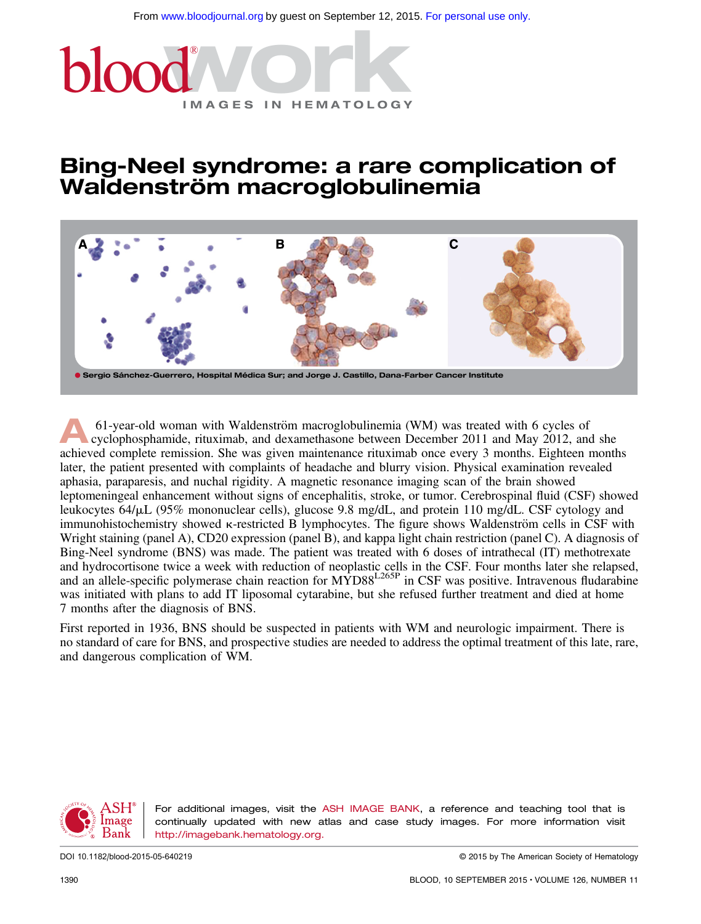

## Bing-Neel syndrome: a rare complication of Waldenström macroglobulinemia



61-year-old woman with Waldenström macroglobulinemia (WM) was treated with 6 cycles of cyclophosphamide, rituximab, and dexamethasone between December 2011 and May 2012, and she achieved complete remission. She was given maintenance rituximab once every 3 months. Eighteen months later, the patient presented with complaints of headache and blurry vision. Physical examination revealed aphasia, paraparesis, and nuchal rigidity. A magnetic resonance imaging scan of the brain showed leptomeningeal enhancement without signs of encephalitis, stroke, or tumor. Cerebrospinal fluid (CSF) showed leukocytes  $64/\mu L$  (95% mononuclear cells), glucose 9.8 mg/dL, and protein 110 mg/dL. CSF cytology and immunohistochemistry showed  $\kappa$ -restricted B lymphocytes. The figure shows Waldenström cells in CSF with Wright staining (panel A), CD20 expression (panel B), and kappa light chain restriction (panel C). A diagnosis of Bing-Neel syndrome (BNS) was made. The patient was treated with 6 doses of intrathecal (IT) methotrexate and hydrocortisone twice a week with reduction of neoplastic cells in the CSF. Four months later she relapsed, and an allele-specific polymerase chain reaction for MYD88<sup>L265P</sup> in CSF was positive. Intravenous fludarabine was initiated with plans to add IT liposomal cytarabine, but she refused further treatment and died at home 7 months after the diagnosis of BNS.

First reported in 1936, BNS should be suspected in patients with WM and neurologic impairment. There is no standard of care for BNS, and prospective studies are needed to address the optimal treatment of this late, rare, and dangerous complication of WM.



For additional images, visit the ASH IMAGE BANK, a reference and teaching tool that is continually updated with new atlas and case study images. For more information visit <http://imagebank.hematology.org>.